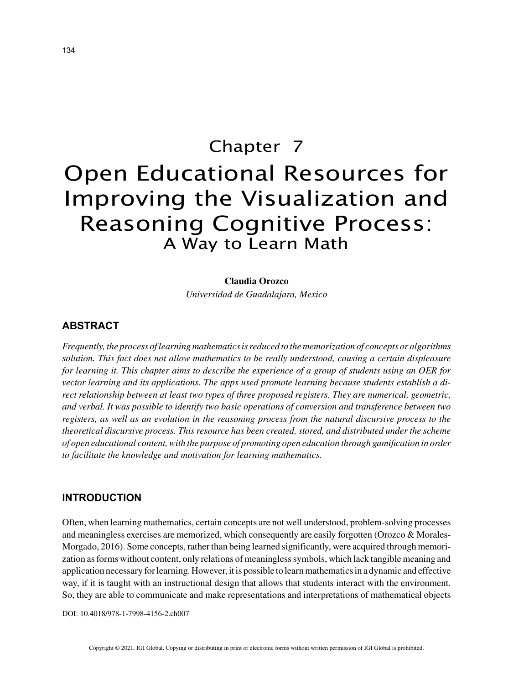# Chapter 7 Open Educational Resources for Improving the Visualization and Reasoning Cognitive Process: A Way to Learn Math

#### **Claudia Orozco**

*Universidad de Guadalajara, Mexico*

### **ABSTRACT**

*Frequently, the process of learning mathematics is reduced to the memorization of concepts or algorithms solution. This fact does not allow mathematics to be really understood, causing a certain displeasure for learning it. This chapter aims to describe the experience of a group of students using an OER for vector learning and its applications. The apps used promote learning because students establish a direct relationship between at least two types of three proposed registers. They are numerical, geometric, and verbal. It was possible to identify two basic operations of conversion and transference between two registers, as well as an evolution in the reasoning process from the natural discursive process to the theoretical discursive process. This resource has been created, stored, and distributed under the scheme of open educational content, with the purpose of promoting open education through gamification in order to facilitate the knowledge and motivation for learning mathematics.*

### **INTRODUCTION**

Often, when learning mathematics, certain concepts are not well understood, problem-solving processes and meaningless exercises are memorized, which consequently are easily forgotten (Orozco & Morales-Morgado, 2016). Some concepts, rather than being learned significantly, were acquired through memorization as forms without content, only relations of meaningless symbols, which lack tangible meaning and application necessary for learning. However, it is possible to learn mathematics in a dynamic and effective way, if it is taught with an instructional design that allows that students interact with the environment. So, they are able to communicate and make representations and interpretations of mathematical objects

DOI: 10.4018/978-1-7998-4156-2.ch007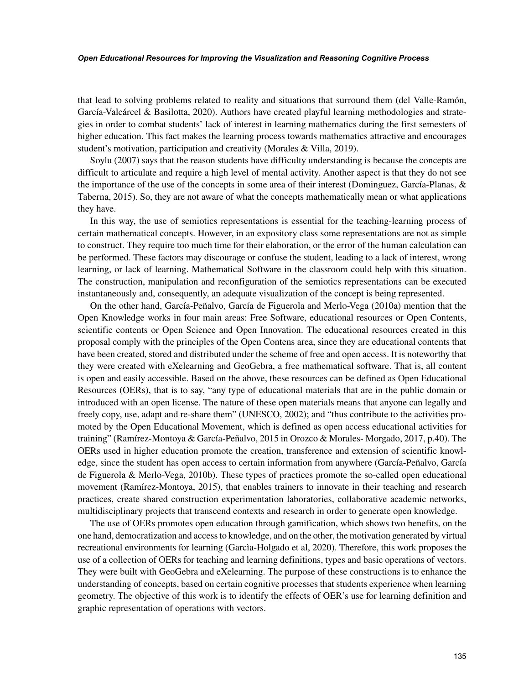#### *Open Educational Resources for Improving the Visualization and Reasoning Cognitive Process*

that lead to solving problems related to reality and situations that surround them (del Valle-Ramón, García-Valcárcel & Basilotta, 2020). Authors have created playful learning methodologies and strategies in order to combat students' lack of interest in learning mathematics during the first semesters of higher education. This fact makes the learning process towards mathematics attractive and encourages student's motivation, participation and creativity (Morales & Villa, 2019).

Soylu (2007) says that the reason students have difficulty understanding is because the concepts are difficult to articulate and require a high level of mental activity. Another aspect is that they do not see the importance of the use of the concepts in some area of their interest (Dominguez, García-Planas, & Taberna, 2015). So, they are not aware of what the concepts mathematically mean or what applications they have.

In this way, the use of semiotics representations is essential for the teaching-learning process of certain mathematical concepts. However, in an expository class some representations are not as simple to construct. They require too much time for their elaboration, or the error of the human calculation can be performed. These factors may discourage or confuse the student, leading to a lack of interest, wrong learning, or lack of learning. Mathematical Software in the classroom could help with this situation. The construction, manipulation and reconfiguration of the semiotics representations can be executed instantaneously and, consequently, an adequate visualization of the concept is being represented.

On the other hand, García-Peñalvo, García de Figuerola and Merlo-Vega (2010a) mention that the Open Knowledge works in four main areas: Free Software, educational resources or Open Contents, scientific contents or Open Science and Open Innovation. The educational resources created in this proposal comply with the principles of the Open Contens area, since they are educational contents that have been created, stored and distributed under the scheme of free and open access. It is noteworthy that they were created with eXelearning and GeoGebra, a free mathematical software. That is, all content is open and easily accessible. Based on the above, these resources can be defined as Open Educational Resources (OERs), that is to say, "any type of educational materials that are in the public domain or introduced with an open license. The nature of these open materials means that anyone can legally and freely copy, use, adapt and re-share them" (UNESCO, 2002); and "thus contribute to the activities promoted by the Open Educational Movement, which is defined as open access educational activities for training" (Ramírez-Montoya & García-Peñalvo, 2015 in Orozco & Morales- Morgado, 2017, p.40). The OERs used in higher education promote the creation, transference and extension of scientific knowledge, since the student has open access to certain information from anywhere (García-Peñalvo, García de Figuerola & Merlo-Vega, 2010b). These types of practices promote the so-called open educational movement (Ramírez-Montoya, 2015), that enables trainers to innovate in their teaching and research practices, create shared construction experimentation laboratories, collaborative academic networks, multidisciplinary projects that transcend contexts and research in order to generate open knowledge.

The use of OERs promotes open education through gamification, which shows two benefits, on the one hand, democratization and access to knowledge, and on the other, the motivation generated by virtual recreational environments for learning (Garcìa-Holgado et al, 2020). Therefore, this work proposes the use of a collection of OERs for teaching and learning definitions, types and basic operations of vectors. They were built with GeoGebra and eXelearning. The purpose of these constructions is to enhance the understanding of concepts, based on certain cognitive processes that students experience when learning geometry. The objective of this work is to identify the effects of OER's use for learning definition and graphic representation of operations with vectors.